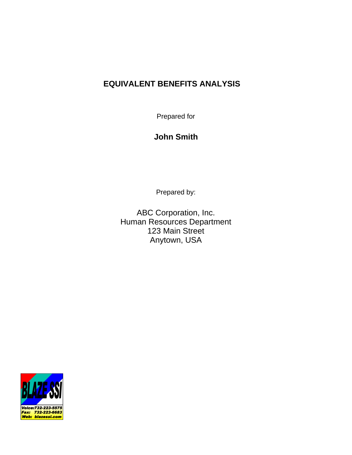# **EQUIVALENT BENEFITS ANALYSIS**

Prepared for

# **John Smith**

Prepared by:

ABC Corporation, Inc. Human Resources Department 123 Main Street Anytown, USA

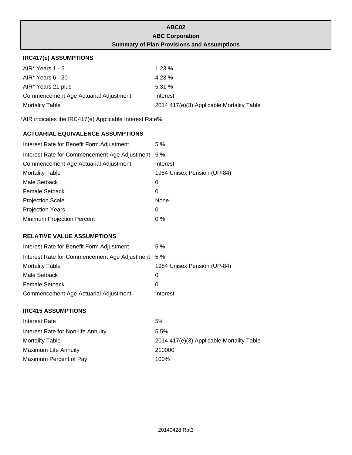|                                                        | ABC02                                             |
|--------------------------------------------------------|---------------------------------------------------|
|                                                        | <b>ABC Corporation</b>                            |
|                                                        | <b>Summary of Plan Provisions and Assumptions</b> |
| <b>IRC417(e) ASSUMPTIONS</b>                           |                                                   |
| AIR* Years 1 - 5                                       | 1.23 %                                            |
| AIR* Years 6 - 20                                      | 4.23%                                             |
| AIR* Years 21 plus                                     | 5.31 %                                            |
| Commencement Age Actuarial Adjustment                  | Interest                                          |
| <b>Mortality Table</b>                                 | 2014 417(e)(3) Applicable Mortality Table         |
| *AIR indicates the IRC417(e) Applicable Interest Rate% |                                                   |
| <b>ACTUARIAL EQUIVALENCE ASSUMPTIONS</b>               |                                                   |
| Interest Rate for Benefit Form Adjustment              | 5 %                                               |
| Interest Rate for Commencement Age Adjustment 5 %      |                                                   |
| Commencement Age Actuarial Adjustment                  | Interest                                          |
| <b>Mortality Table</b>                                 | 1984 Unisex Pension (UP-84)                       |
| Male Setback                                           | 0                                                 |
| <b>Female Setback</b>                                  | 0                                                 |
| <b>Projection Scale</b>                                | None                                              |
| <b>Projection Years</b>                                | 0                                                 |
| Minimum Projection Percent                             | 0%                                                |
| <b>RELATIVE VALUE ASSUMPTIONS</b>                      |                                                   |
| Interest Rate for Benefit Form Adjustment              | 5 %                                               |
| Interest Rate for Commencement Age Adjustment 5 %      |                                                   |
| <b>Mortality Table</b>                                 | 1984 Unisex Pension (UP-84)                       |
| Male Setback                                           | 0                                                 |
| <b>Female Setback</b>                                  | 0                                                 |
| Commencement Age Actuarial Adjustment                  | Interest                                          |
| <b>IRC415 ASSUMPTIONS</b>                              |                                                   |
| <b>Interest Rate</b>                                   | 5%                                                |
| Interest Rate for Non-life Annuity                     | 5.5%                                              |
| <b>Mortality Table</b>                                 | 2014 417(e)(3) Applicable Mortality Table         |
| Maximum Life Annuity                                   | 210000                                            |
| Maximum Percent of Pay                                 | 100%                                              |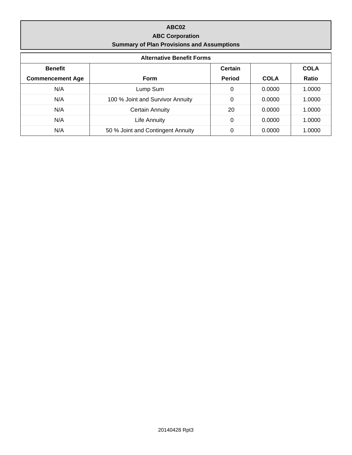### **ABC02 ABC Corporation Summary of Plan Provisions and Assumptions**

| <b>Alternative Benefit Forms</b> |                                   |               |             |             |  |  |
|----------------------------------|-----------------------------------|---------------|-------------|-------------|--|--|
| <b>Benefit</b>                   |                                   | Certain       |             | <b>COLA</b> |  |  |
| <b>Commencement Age</b>          | Form                              | <b>Period</b> | <b>COLA</b> | Ratio       |  |  |
| N/A                              | Lump Sum                          | 0             | 0.0000      | 1.0000      |  |  |
| N/A                              | 100 % Joint and Survivor Annuity  | 0             | 0.0000      | 1.0000      |  |  |
| N/A                              | <b>Certain Annuity</b>            | 20            | 0.0000      | 1.0000      |  |  |
| N/A                              | Life Annuity                      | $\Omega$      | 0.0000      | 1.0000      |  |  |
| N/A                              | 50 % Joint and Contingent Annuity | $\Omega$      | 0.0000      | 1.0000      |  |  |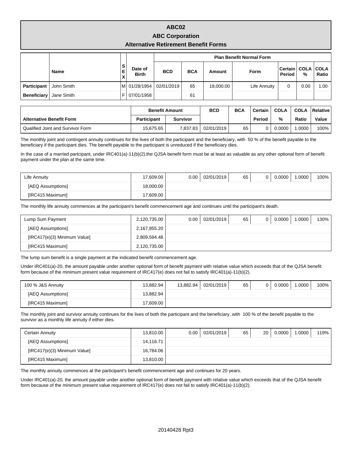### **ABC02 ABC Corporation Alternative Retirement Benefit Forms**

|                    |             |              |                         | <b>Plan Benefit Normal Form</b> |            |           |              |                                 |      |       |
|--------------------|-------------|--------------|-------------------------|---------------------------------|------------|-----------|--------------|---------------------------------|------|-------|
|                    | <b>Name</b> | ۱S<br>Е<br>X | Date of<br><b>Birth</b> | <b>BCD</b>                      | <b>BCA</b> | Amount    | Form         | Certain   COLA   COLA<br>Period | %    | Ratio |
| Participant        | John Smith  | м            | 01/28/1954              | 02/01/2019                      | 65         | 18,000.00 | Life Annuity | 0                               | 0.00 | 1.00  |
| <b>Beneficiary</b> | Jane Smith  |              | 07/01/1958              |                                 | 61         |           |              |                                 |      |       |

|                                   | <b>Benefit Amount</b> |          | <b>BCD</b> | <b>BCA</b> | Certain | <b>COLA</b> | <b>COLA</b> | <b>Relative</b> |
|-----------------------------------|-----------------------|----------|------------|------------|---------|-------------|-------------|-----------------|
| <b>Alternative Benefit Form</b>   | Participant           | Survivor |            |            | Period  | %           | Ratio       | Value           |
| Qualified Joint and Survivor Form | 15.675.65             | 7.837.83 | 02/01/2019 | 65         |         | 0.0000      | .0000       | $100\%$         |

The monthly joint and contingent annuity continues for the lives of both the participant and the beneficiary, with 50 % of the benefit payable to the beneficiary if the participant dies. The benefit payable to the participant is unreduced if the beneficiary dies.

In the case of a married partcipant, under IRC401(a)-11(b)(2),the QJSA benefit form must be at least as valuable as any other optional form of benefit payment under the plan at the same time.

| Life Annuity      | 17,609.00 | 0.00 | 02/01/2019 | 65 | 0.0000 | .0000 | 100% |
|-------------------|-----------|------|------------|----|--------|-------|------|
| [AEQ Assumptions] | 18,000.00 |      |            |    |        |       |      |
| [IRC415 Maximum]  | 17.609.00 |      |            |    |        |       |      |

The monthly life annuity commences at the participant's benefit commencement age and continues until the participant's death.

| Lump Sum Payment             | 2,120,735.00 | 0.00 <sub>1</sub> | 02/01/2019 | 65 | 0 | 0.0000 | 1.0000 | 130% |
|------------------------------|--------------|-------------------|------------|----|---|--------|--------|------|
| [AEQ Assumptions]            | 2,167,855.20 |                   |            |    |   |        |        |      |
| [IRC417(e)(3) Minimum Value] | 2.809.594.48 |                   |            |    |   |        |        |      |
| [IRC415 Maximum]             | 2,120,735.00 |                   |            |    |   |        |        |      |

The lump sum benefit is a single payment at the indicated benefit commencement age.

Under IRC401(a)-20, the amount payable under another optional form of benefit payment with relative value which exceeds that of the QJSA benefit form because of the minimum present value requirement of IRC417(e) does not fail to satisfy IRC401(a)-11(b)(2).

| 100 % J&S Annuity       | 13.882.94 | 13.882.94 | 02/01/2019 | 65 | 0.0000 | .0000 | 100% |
|-------------------------|-----------|-----------|------------|----|--------|-------|------|
| [AEQ Assumptions]       | 13.882.94 |           |            |    |        |       |      |
| <b>IIRC415 Maximuml</b> | 17,609.00 |           |            |    |        |       |      |

The monthly joint and survivor annuity continues for the lives of both the participant and the beneficiary, with 100 % of the benefit payable to the survivor as a monthly life annuity if either dies.

| Certain Annuity              | 13,810.00 | 0.00 | 02/01/2019 | 65 | 20 | 0.0000 | .0000 | 119% l |
|------------------------------|-----------|------|------------|----|----|--------|-------|--------|
| [AEQ Assumptions]            | 14,116.71 |      |            |    |    |        |       |        |
| [IRC417(e)(3) Minimum Value] | 16,784.06 |      |            |    |    |        |       |        |
| [IRC415 Maximum]             | 13,810.00 |      |            |    |    |        |       |        |

The monthly annuity commences at the participant's benefit commencement age and continues for 20 years.

Under IRC401(a)-20, the amount payable under another optional form of benefit payment with relative value which exceeds that of the QJSA benefit form because of the minimum present value requirement of IRC417(e) does not fail to satisfy IRC401(a)-11(b)(2).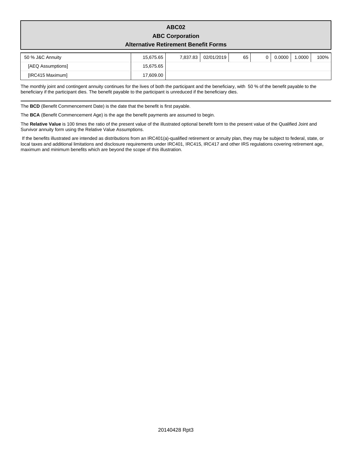## **ABC02 ABC Corporation**

#### **Alternative Retirement Benefit Forms**

| 50 % J&C Annuity  | 15.675.65 | 7,837.83 | 02/01/2019 | 65 | 0.0000 | .0000 | 100% |
|-------------------|-----------|----------|------------|----|--------|-------|------|
| [AEQ Assumptions] | 15,675.65 |          |            |    |        |       |      |
| [IRC415 Maximum]  | 17,609.00 |          |            |    |        |       |      |

The monthly joint and contingent annuity continues for the lives of both the participant and the beneficiary, with 50 % of the benefit payable to the beneficiary if the participant dies. The benefit payable to the participant is unreduced if the beneficiary dies.

The **BCD** (Benefit Commencement Date) is the date that the benefit is first payable.

The **BCA** (Benefit Commencement Age) is the age the benefit payments are assumed to begin.

The **Relative Value** is 100 times the ratio of the present value of the illustrated optional benefit form to the present value of the Qualified Joint and Survivor annuity form using the Relative Value Assumptions.

 If the benefits illustrated are intended as distributions from an IRC401(a)-qualified retirement or annuity plan, they may be subject to federal, state, or local taxes and additional limitations and disclosure requirements under IRC401, IRC415, IRC417 and other IRS regulations covering retirement age, maximum and minimum benefits which are beyond the scope of this illustration.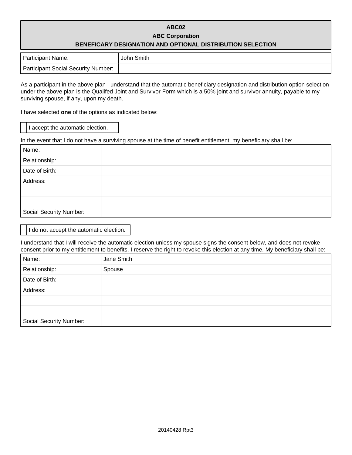## **ABC02 ABC Corporation BENEFICARY DESIGNATION AND OPTIONAL DISTRIBUTION SELECTION**

| <b>Participant Name:</b>            | John Smith |
|-------------------------------------|------------|
| Participant Social Security Number: |            |

As a participant in the above plan I understand that the automatic beneficiary designation and distribution option selection under the above plan is the Qualifed Joint and Survivor Form which is a 50% joint and survivor annuity, payable to my surviving spouse, if any, upon my death.

I have selected **one** of the options as indicated below:

I accept the automatic election.

In the event that I do not have a surviving spouse at the time of benefit entitlement, my beneficiary shall be:

| Name:                          |  |
|--------------------------------|--|
| Relationship:                  |  |
| Date of Birth:                 |  |
| Address:                       |  |
|                                |  |
|                                |  |
| <b>Social Security Number:</b> |  |

I do not accept the automatic election.

I understand that I will receive the automatic election unless my spouse signs the consent below, and does not revoke consent prior to my entitlement to benefits. I reserve the right to revoke this election at any time. My beneficiary shall be:

| Name:                          | Jane Smith |
|--------------------------------|------------|
| Relationship:                  | Spouse     |
| Date of Birth:                 |            |
| Address:                       |            |
|                                |            |
|                                |            |
| <b>Social Security Number:</b> |            |